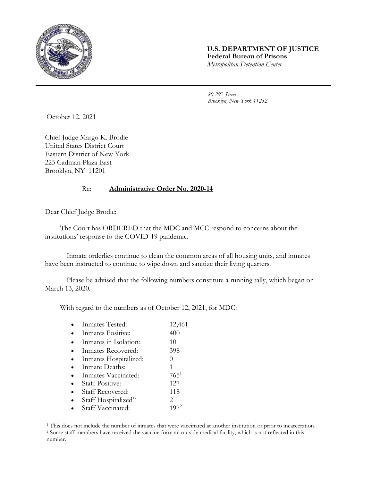

## **U.S. DEPARTMENT OF JUSTICE Federal Bureau of Prisons** *Metropolitan Detention Center*

*80 29th Street Brooklyn, New York 11232*

October 12, 2021

Chief Judge Margo K. Brodie United States District Court Eastern District of New York 225 Cadman Plaza East Brooklyn, NY 11201

## Re: **Administrative Order No. 2020-14**

Dear Chief Judge Brodie:

l

The Court has ORDERED that the MDC and MCC respond to concerns about the institutions' response to the COVID-19 pandemic.

Inmate orderlies continue to clean the common areas of all housing units, and inmates have been instructed to continue to wipe down and sanitize their living quarters.

Please be advised that the following numbers constitute a running tally, which began on March 13, 2020.

With regard to the numbers as of October 12, 2021, for MDC:

|           | • Inmates Tested:     | 12,461 |
|-----------|-----------------------|--------|
|           | • Inmates Positive:   | 400    |
| $\bullet$ | Inmates in Isolation: | 10     |
|           |                       | ററ     |

- Inmates Recovered: 398
- Inmates Hospitalized: 0
- Inmate Deaths: 1 Inmates Vaccinated: 765<sup>1</sup>
- Staff Positive: 127
- Staff Recovered: 118
- 
- Staff Hospitalized" 2 Staff Vaccinated: 197<sup>2</sup>

<sup>1</sup> This does not include the number of inmates that were vaccinated at another institution or prior to incarceration. <sup>2</sup> Some staff members have received the vaccine form an outside medical facility, which is not reflected in this number.